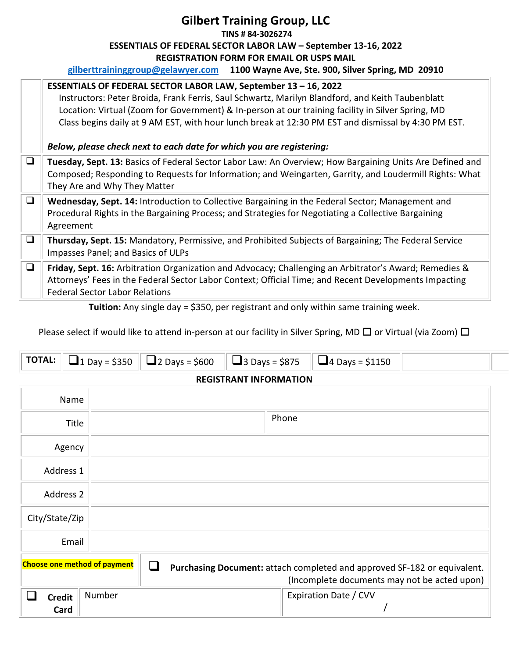## **Gilbert Training Group, LLC TINS # 84-3026274 ESSENTIALS OF FEDERAL SECTOR LABOR LAW – September 13-16, 2022 REGISTRATION FORM FOR EMAIL OR USPS MAIL gilberttraininggroup@gelawyer.com 1100 Wayne Ave, Ste. 900, Silver Spring, MD 20910**

|        | ESSENTIALS OF FEDERAL SECTOR LABOR LAW, September 13 - 16, 2022<br>Instructors: Peter Broida, Frank Ferris, Saul Schwartz, Marilyn Blandford, and Keith Taubenblatt<br>Location: Virtual (Zoom for Government) & In-person at our training facility in Silver Spring, MD<br>Class begins daily at 9 AM EST, with hour lunch break at 12:30 PM EST and dismissal by 4:30 PM EST.<br>Below, please check next to each date for which you are registering: |
|--------|---------------------------------------------------------------------------------------------------------------------------------------------------------------------------------------------------------------------------------------------------------------------------------------------------------------------------------------------------------------------------------------------------------------------------------------------------------|
| $\Box$ | Tuesday, Sept. 13: Basics of Federal Sector Labor Law: An Overview; How Bargaining Units Are Defined and<br>Composed; Responding to Requests for Information; and Weingarten, Garrity, and Loudermill Rights: What<br>They Are and Why They Matter                                                                                                                                                                                                      |
| $\Box$ | Wednesday, Sept. 14: Introduction to Collective Bargaining in the Federal Sector; Management and<br>Procedural Rights in the Bargaining Process; and Strategies for Negotiating a Collective Bargaining<br>Agreement                                                                                                                                                                                                                                    |
| $\Box$ | Thursday, Sept. 15: Mandatory, Permissive, and Prohibited Subjects of Bargaining; The Federal Service<br>Impasses Panel; and Basics of ULPs                                                                                                                                                                                                                                                                                                             |
| $\Box$ | Friday, Sept. 16: Arbitration Organization and Advocacy; Challenging an Arbitrator's Award; Remedies &<br>Attorneys' Fees in the Federal Sector Labor Context; Official Time; and Recent Developments Impacting<br><b>Federal Sector Labor Relations</b>                                                                                                                                                                                                |

**Tuition:** Any single day = \$350, per registrant and only within same training week.

Please select if would like to attend in-person at our facility in Silver Spring, MD □ or Virtual (via Zoom) □

|  |  |  |  |  | <b>TOTAL:</b> $\boxed{a_1}_{Day} = $350$ $\boxed{a_2}_{Day} = $600$ $\boxed{a_3}_{Day} = $875$ $\boxed{a_4}_{Day} = $1150$ |  |  |
|--|--|--|--|--|----------------------------------------------------------------------------------------------------------------------------|--|--|
|--|--|--|--|--|----------------------------------------------------------------------------------------------------------------------------|--|--|

## **REGISTRANT INFORMATION**

| Name                                |        |                                                                                                                          |  |
|-------------------------------------|--------|--------------------------------------------------------------------------------------------------------------------------|--|
| Title                               |        | Phone                                                                                                                    |  |
| Agency                              |        |                                                                                                                          |  |
| Address 1                           |        |                                                                                                                          |  |
| Address 2                           |        |                                                                                                                          |  |
| City/State/Zip                      |        |                                                                                                                          |  |
| Email                               |        |                                                                                                                          |  |
| <b>Choose one method of payment</b> |        | Purchasing Document: attach completed and approved SF-182 or equivalent.<br>(Incomplete documents may not be acted upon) |  |
| <b>Credit</b><br>Card               | Number | Expiration Date / CVV                                                                                                    |  |